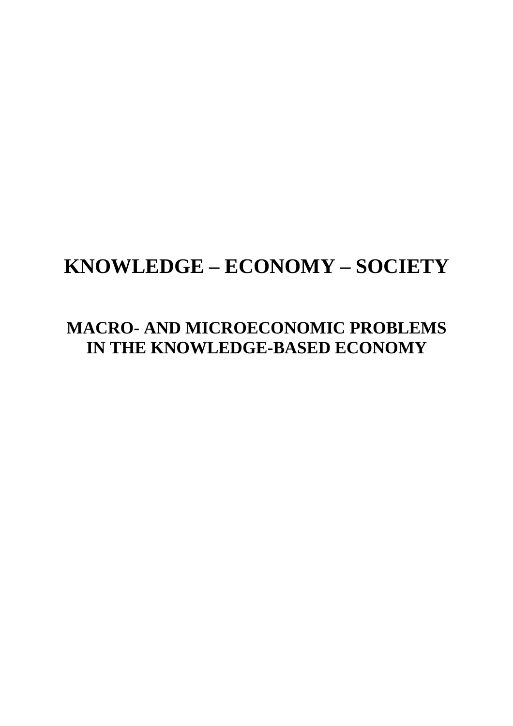# **KNOWLEDGE – ECONOMY – SOCIETY**

## **MACRO- AND MICROECONOMIC PROBLEMS IN THE KNOWLEDGE-BASED ECONOMY**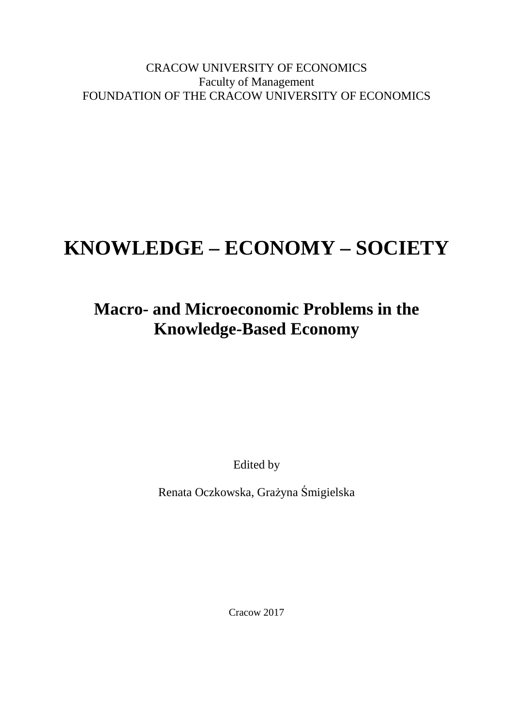CRACOW UNIVERSITY OF ECONOMICS Faculty of Management FOUNDATION OF THE CRACOW UNIVERSITY OF ECONOMICS

# **KNOWLEDGE – ECONOMY – SOCIETY**

## **Macro- and Microeconomic Problems in the Knowledge-Based Economy**

Edited by

Renata Oczkowska, Grażyna Śmigielska

Cracow 2017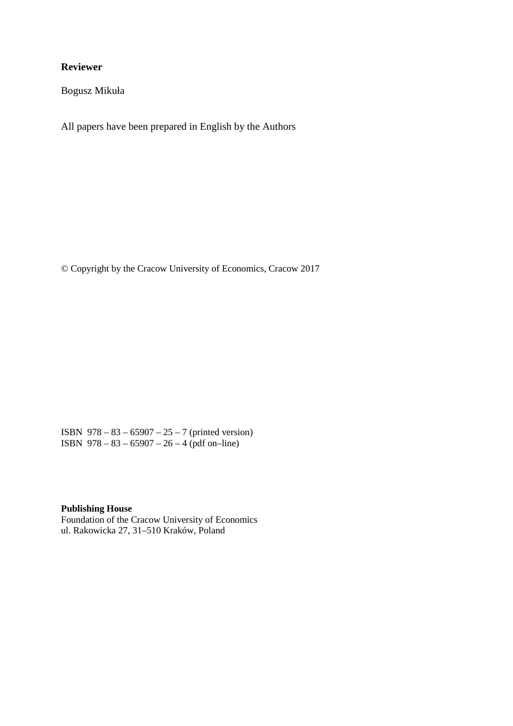#### **Reviewer**

Bogusz Mikuła

All papers have been prepared in English by the Authors

© Copyright by the Cracow University of Economics, Cracow 2017

ISBN 978 – 83 – 65907 – 25 – 7 (printed version) ISBN 978 – 83 – 65907 – 26 – 4 (pdf on–line)

#### **Publishing House**

Foundation of the Cracow University of Economics ul. Rakowicka 27, 31–510 Kraków, Poland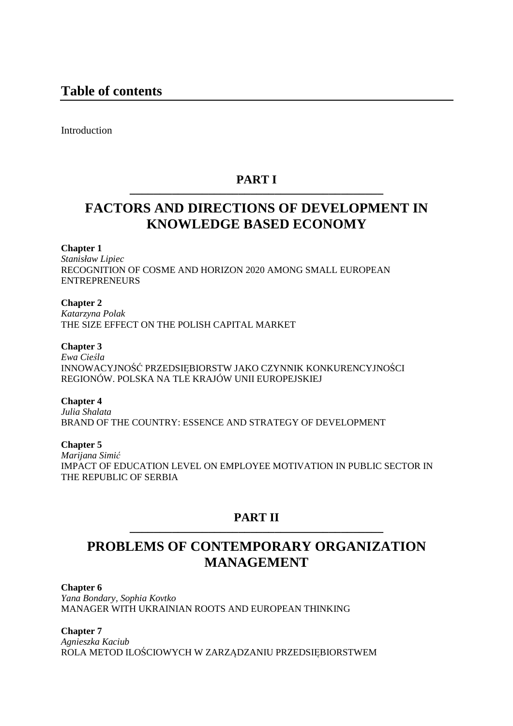Introduction

### **PART I ––––––––––––––––––––––––––––––––––––––––––**

## **FACTORS AND DIRECTIONS OF DEVELOPMENT IN KNOWLEDGE BASED ECONOMY**

#### **Chapter 1**

*Stanisław Lipiec*  RECOGNITION OF COSME AND HORIZON 2020 AMONG SMALL EUROPEAN ENTREPRENEURS

**Chapter 2**

*Katarzyna Polak*  THE SIZE EFFECT ON THE POLISH CAPITAL MARKET

#### **Chapter 3**

*Ewa Cieśla*  INNOWACYJNOŚĆ PRZEDSIĘBIORSTW JAKO CZYNNIK KONKURENCYJNOŚCI REGIONÓW. POLSKA NA TLE KRAJÓW UNII EUROPEJSKIEJ

#### **Chapter 4**

*Julia Shalata*  BRAND OF THE COUNTRY: ESSENCE AND STRATEGY OF DEVELOPMENT

#### **Chapter 5**

*Marijana Simić* IMPACT OF EDUCATION LEVEL ON EMPLOYEE MOTIVATION IN PUBLIC SECTOR IN THE REPUBLIC OF SERBIA

### **PART II ––––––––––––––––––––––––––––––––––––––––––**

## **PROBLEMS OF CONTEMPORARY ORGANIZATION MANAGEMENT**

#### **Chapter 6**

*Yana Bondary, Sophia Kovtko*  MANAGER WITH UKRAINIAN ROOTS AND EUROPEAN THINKING

#### **Chapter 7**

*Agnieszka Kaciub*  ROLA METOD ILOŚCIOWYCH W ZARZĄDZANIU PRZEDSIĘBIORSTWEM